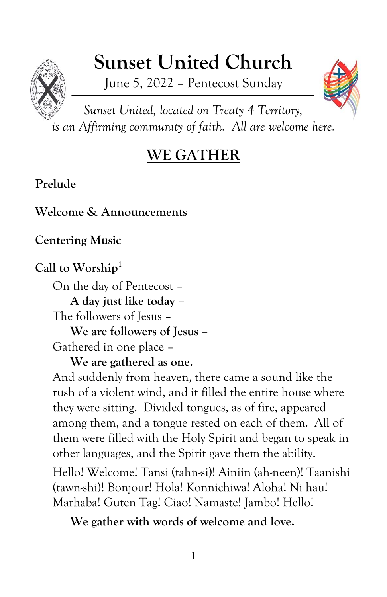# **Sunset United Church**

June 5, 2022 – Pentecost Sunday



*Sunset United, located on Treaty 4 Territory, is an Affirming community of faith. All are welcome here.*

## **WE GATHER**

### **Prelude**

**Welcome & Announcements**

**Centering Music**

### **Call to Worship<sup>1</sup>**

On the day of Pentecost – **A day just like today –** The followers of Jesus – **We are followers of Jesus –** Gathered in one place –

**We are gathered as one.**

And suddenly from heaven, there came a sound like the rush of a violent wind, and it filled the entire house where they were sitting. Divided tongues, as of fire, appeared among them, and a tongue rested on each of them. All of them were filled with the Holy Spirit and began to speak in other languages, and the Spirit gave them the ability.

Hello! Welcome! Tansi (tahn-si)! Ainiin (ah-neen)! Taanishi (tawn-shi)! Bonjour! Hola! Konnichiwa! Aloha! Ni hau! Marhaba! Guten Tag! Ciao! Namaste! Jambo! Hello!

**We gather with words of welcome and love.**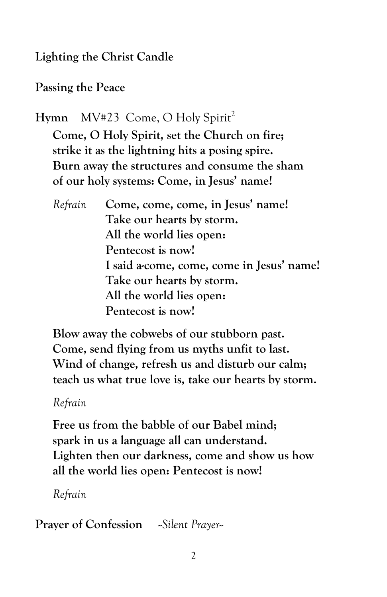**Lighting the Christ Candle**

**Passing the Peace**

Hymn MV#23 Come, O Holy Spirit<sup>2</sup> **Come, O Holy Spirit, set the Church on fire; strike it as the lightning hits a posing spire. Burn away the structures and consume the sham of our holy systems: Come, in Jesus' name!**

*Refrain* **Come, come, come, in Jesus' name! Take our hearts by storm. All the world lies open: Pentecost is now! I said a-come, come, come in Jesus' name! Take our hearts by storm. All the world lies open: Pentecost is now!**

**Blow away the cobwebs of our stubborn past. Come, send flying from us myths unfit to last. Wind of change, refresh us and disturb our calm; teach us what true love is, take our hearts by storm.**

*Refrain*

**Free us from the babble of our Babel mind; spark in us a language all can understand. Lighten then our darkness, come and show us how all the world lies open: Pentecost is now!**

*Refrain*

**Prayer of Confession** *--Silent Prayer--*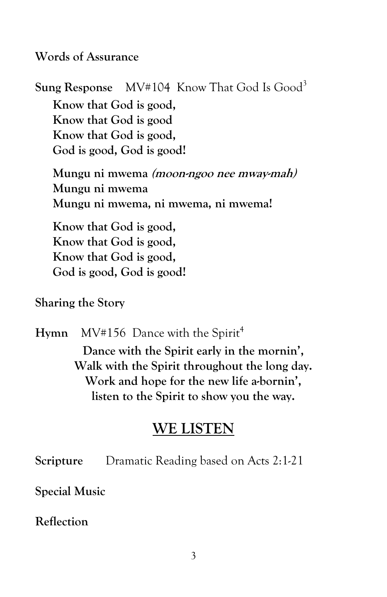**Words of Assurance**

**Sung Response** MV#104 Know That God Is Good<sup>3</sup> **Know that God is good, Know that God is good Know that God is good, God is good, God is good!**

**Mungu ni mwema (moon-ngoo nee mway-mah) Mungu ni mwema Mungu ni mwema, ni mwema, ni mwema!**

**Know that God is good, Know that God is good, Know that God is good, God is good, God is good!**

**Sharing the Story**

Hymn MV#156 Dance with the Spirit<sup>4</sup> **Dance with the Spirit early in the mornin', Walk with the Spirit throughout the long day. Work and hope for the new life a-bornin', listen to the Spirit to show you the way.**

#### **WE LISTEN**

**Scripture** Dramatic Reading based on Acts 2:1-21

**Special Music**

**Reflection**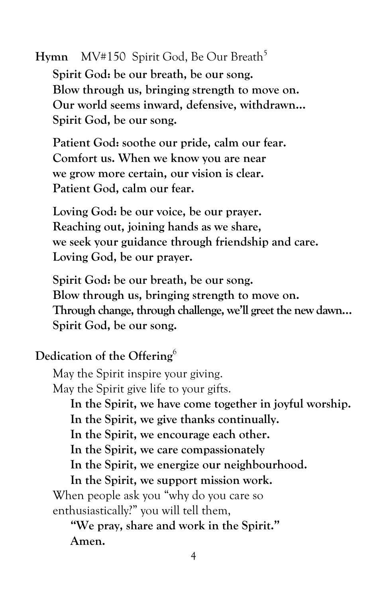Hymn MV#150 Spirit God, Be Our Breath<sup>5</sup>

**Spirit God: be our breath, be our song. Blow through us, bringing strength to move on. Our world seems inward, defensive, withdrawn… Spirit God, be our song.**

**Patient God: soothe our pride, calm our fear. Comfort us. When we know you are near we grow more certain, our vision is clear. Patient God, calm our fear.**

**Loving God: be our voice, be our prayer. Reaching out, joining hands as we share, we seek your guidance through friendship and care. Loving God, be our prayer.**

**Spirit God: be our breath, be our song. Blow through us, bringing strength to move on. Through change, through challenge, we'll greet the new dawn… Spirit God, be our song.**

#### **Dedication of the Offering**<sup>6</sup>

May the Spirit inspire your giving. May the Spirit give life to your gifts. **In the Spirit, we have come together in joyful worship. In the Spirit, we give thanks continually. In the Spirit, we encourage each other. In the Spirit, we care compassionately In the Spirit, we energize our neighbourhood. In the Spirit, we support mission work.** When people ask you "why do you care so enthusiastically?" you will tell them, **"We pray, share and work in the Spirit." Amen.**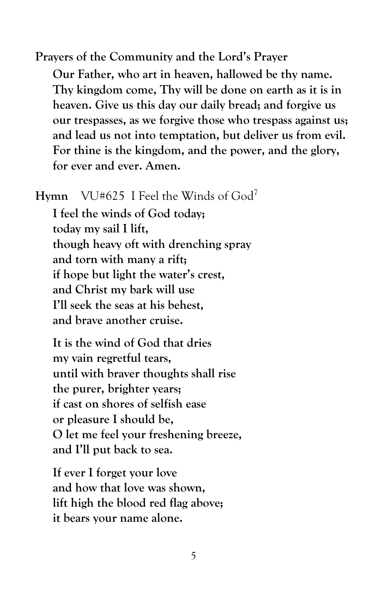**Prayers of the Community and the Lord's Prayer Our Father, who art in heaven, hallowed be thy name. Thy kingdom come, Thy will be done on earth as it is in heaven. Give us this day our daily bread; and forgive us our trespasses, as we forgive those who trespass against us; and lead us not into temptation, but deliver us from evil. For thine is the kingdom, and the power, and the glory, for ever and ever. Amen.**

**Hymn** VU#625 I Feel the Winds of God<sup>7</sup>

**I feel the winds of God today; today my sail I lift, though heavy oft with drenching spray and torn with many a rift; if hope but light the water's crest, and Christ my bark will use I'll seek the seas at his behest, and brave another cruise.**

**It is the wind of God that dries my vain regretful tears, until with braver thoughts shall rise the purer, brighter years; if cast on shores of selfish ease or pleasure I should be, O let me feel your freshening breeze, and I'll put back to sea.**

**If ever I forget your love and how that love was shown, lift high the blood red flag above; it bears your name alone.**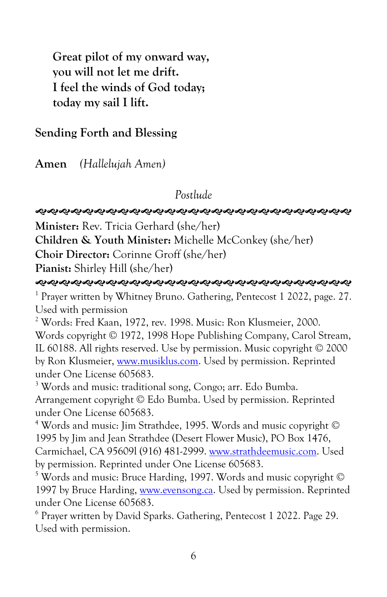**Great pilot of my onward way, you will not let me drift. I feel the winds of God today; today my sail I lift.**

#### **Sending Forth and Blessing**

**Amen** *(Hallelujah Amen)*

*Postlude*

#### **ର୍ଶ୍ୟକ୍ରଶ୍ୟକ୍ରଶ୍ୟକ୍ରଶ୍ୟକ୍ରଶ୍ୟକ୍ରଶ୍ୟକ୍ରଶ୍ୟକ୍ରଶ୍ୟକ୍ରଶ୍ୟକ୍ରଶ୍ୟକ୍ର**

**Minister:** Rev. Tricia Gerhard (she/her)

**Children & Youth Minister:** Michelle McConkey (she/her)

**Choir Director:** Corinne Groff (she/her)

**Pianist:** Shirley Hill (she/her)

**ର୍ଶ୍ୟକ୍ରଶ୍ୟକ୍ରଶ୍ୟକ୍ରଶ୍ୟକ୍ରଶ୍ୟକ୍ରଶ୍ୟକ୍ରଶ୍ୟକ୍ରଶ୍ୟକ୍ରଶ୍ୟକ୍ରଶ୍ୟକ୍ର** 

<sup>1</sup> Prayer written by Whitney Bruno. Gathering, Pentecost 1 2022, page. 27. Used with permission

<sup>2</sup> Words: Fred Kaan, 1972, rev. 1998. Music: Ron Klusmeier, 2000. Words copyright © 1972, 1998 Hope Publishing Company, Carol Stream, IL 60188. All rights reserved. Use by permission. Music copyright © 2000 by Ron Klusmeier[, www.musiklus.com.](http://www.musiklus.com/) Used by permission. Reprinted under One License 605683.

<sup>3</sup> Words and music: traditional song, Congo; arr. Edo Bumba. Arrangement copyright © Edo Bumba. Used by permission. Reprinted under One License 605683.

<sup>4</sup> Words and music: Jim Strathdee, 1995. Words and music copyright © 1995 by Jim and Jean Strathdee (Desert Flower Music), PO Box 1476, Carmichael, CA 95609l (916) 481-2999. [www.strathdeemusic.com.](http://www.strathdeemusic.com/) Used by permission. Reprinted under One License 605683.

<sup>5</sup> Words and music: Bruce Harding, 1997. Words and music copyright © 1997 by Bruce Harding, [www.evensong.ca.](http://www.evensong.ca/) Used by permission. Reprinted under One License 605683.

6 Prayer written by David Sparks. Gathering, Pentecost 1 2022. Page 29. Used with permission.